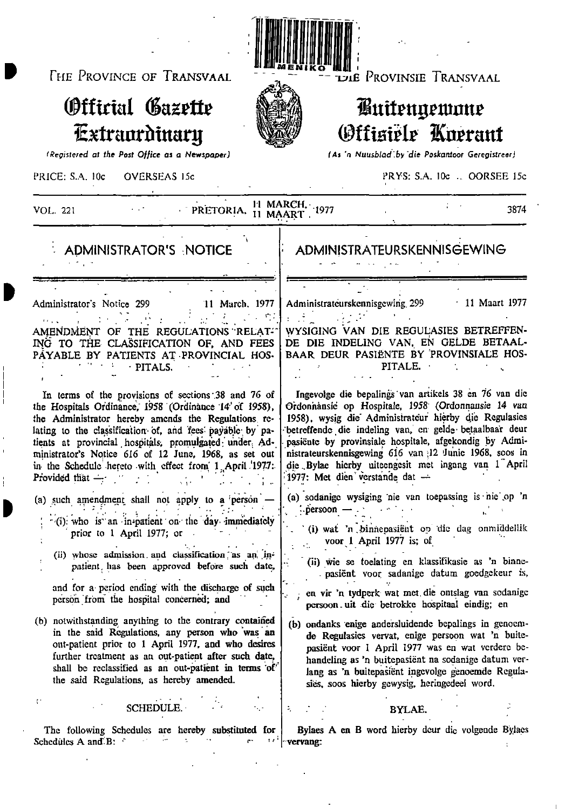THE PROVINCE OF TRANSVAAL

# Official Gazette Extraordinary

(Registered at the Post Office as a Newspaper)

LJLE PROVINSIE TRANSVAAL

# *Kuitengemme* **Offisiële Knerant**

(As 'n Nuusblad by die Poskantoor Geregistreer)

PRICE: S.A. 10c **OVERSEAS 15c**  PRYS: S.A. 10c .. OORSEE 15c

| PRETORIA, 11 MAART.                                                                               | 11 MARCH. 1977                                                 |
|---------------------------------------------------------------------------------------------------|----------------------------------------------------------------|
| VOL. 221                                                                                          | 3874                                                           |
| <b>ADMINISTRATOR'S NOTICE</b>                                                                     | <b>ADMINISTRATEURSKENNISGEWING</b>                             |
| Administrator's Notice 299                                                                        | $\cdot$ 11 Maart 1977                                          |
| 11 March, 1977                                                                                    | Administrateurskennisgewing 299                                |
| $\mathcal{L}^{\text{max}}$ , $\mathcal{L}^{\text{max}}$ , $\mathcal{L}^{\text{max}}$              | WYSIGING VAN DIE REGULASIES BETREFFEN-                         |
| AMENDMENT OF THE REGULATIONS RELAT-                                                               | DE DIE INDELING VAN, EN GELDE BETAAL-                          |
| ING TO THE CLASSIFICATION OF, AND FEES                                                            | BAAR DEUR PASIËNTE BY 'PROVINSIALE HOS-                        |
| PAYABLE BY PATIENTS AT PROVINCIAL HOS-                                                            | PITALE.                                                        |
| · PITALS.                                                                                         | Ingevolge die bepalings van artikels 38 en 76 van die          |
| In terms of the provisions of sections 38 and 76 of                                               | Ordonnansie op Hospitale, 1958 (Ordonnansie 14 van             |
| the Hospitals Ordinance, 1958 (Ordinance 14' of 1958),                                            | 1958), wysig die Administrateur hierby die Regulasies          |
| the Administrator hereby amends the Regulations re-                                               | betreffende die indeling van, en gelde betaalbaar deur         |
| lating to the classification of, and fees payable by pa-                                          | pasiënte by provinsiale hospitale, afgekondig by Admi-         |
| tients at provincial hospitals, promulgated under Ad-                                             | nistrateurskennisgewing 616 van 12 Junie 1968, soos in         |
| ministrator's Notice 616 of 12 June, 1968, as set out                                             | die Bylae hierby uiteengesit met ingang van 1 April            |
| in the Schedule hereto with effect from 1 April 1977.                                             | 1977: Met dien verstande dat -                                 |
| Provided that $-$                                                                                 | (a) sodanige wysiging nie van toepassing is nie op 'n          |
| (a) such amendment shall not apply to a person                                                    | ∴persoon                                                       |
| (i) who is an in-patient on the day immediately                                                   | (i) wat 'n binnepasiënt op die dag onmiddellik                 |
| prior to 1 April 1977; or                                                                         | voor 1 April 1977 is; of                                       |
| (ii) whose admission and classification as an in-                                                 | (ii) wie se toelating en klassifikasie as 'n binne-            |
| patient has been approved before such date,                                                       | pasient voor sadanige datum goedgekeur is,                     |
| and for a period ending with the discharge of such                                                | en vir 'n tydperk wat met die ontslag van sodanige             |
| person from the hospital concerned; and                                                           | persoon uit die betrokke hospitaal eindig; en                  |
| (b) notwithstanding anything to the contrary contained                                            | (b) ondanks enige andersluidende bepalings in genoem-          |
| in the said Regulations, any person who was an                                                    | de Regulasies vervat, enige persoon wat 'n buite-              |
| out-patient prior to 1 April 1977, and who desires                                                | pasiënt voor I April 1977 was en wat verdere be-               |
| further treatment as an out-patient after such date,                                              | handeling as 'n buitepasiënt na sodanige datum ver-            |
| shall be reclassified as an out-patient in terms of                                               | lang as 'n buitepasiënt ingevolge genoemde Regula-             |
| the said Regulations, as hereby amended.                                                          | sies, soos hierby gewysig, heringedeel word.                   |
| t.                                                                                                | ÷,                                                             |
| <b>SCHEDULE</b>                                                                                   | BYLAE.                                                         |
| The following Schedules are hereby substituted for<br>1 s i<br>m.<br>Schedules A and B: $\degree$ | Bylaes A en B word hierby deur die volgende Bylaes<br>vervang: |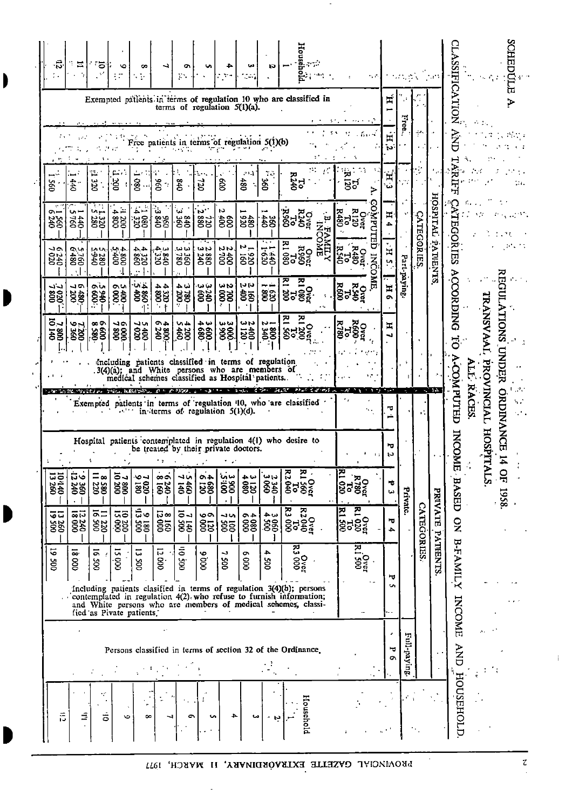| 言                |                                                             |                                                                                                                                                                                                             | $\tilde{\bullet}$<br><b>SOC</b> | 13260                                                                            | 10140<br>13260                     |                                                                 |                                                                  |                                                                                                                                                           | ິວມ<br>$\overline{58}$                          | 7020                            | ۹۵<br>240                                                       | $\sim$<br><b>280</b>                                                            | 095               |                                         |                                                                   | 忘         |
|------------------|-------------------------------------------------------------|-------------------------------------------------------------------------------------------------------------------------------------------------------------------------------------------------------------|---------------------------------|----------------------------------------------------------------------------------|------------------------------------|-----------------------------------------------------------------|------------------------------------------------------------------|-----------------------------------------------------------------------------------------------------------------------------------------------------------|-------------------------------------------------|---------------------------------|-----------------------------------------------------------------|---------------------------------------------------------------------------------|-------------------|-----------------------------------------|-------------------------------------------------------------------|-----------|
| Ξ                |                                                             |                                                                                                                                                                                                             | $\overline{\mathbf{c}}$<br>8    | 000 81                                                                           | ದ್<br><b>385</b>                   |                                                                 |                                                                  |                                                                                                                                                           | ب ص<br><b>88</b>                                | -10<br>\$8                      | 9,4<br>1760                                                     | u<br>345                                                                        | 440               |                                         |                                                                   | ٠.<br>Ξ   |
| ే                |                                                             |                                                                                                                                                                                                             | ದ .<br>8                        | ົ⊼⊐<br>$\frac{25}{25}$                                                           | $\Xi_{\infty}$<br>280              |                                                                 |                                                                  |                                                                                                                                                           | $\infty$<br>88,                                 | :009 S                          | ب ب<br>056-3<br>082                                             | ر<br>سوال<br>320                                                                | Ωć                |                                         |                                                                   | ్ర<br>n f |
| ت                |                                                             |                                                                                                                                                                                                             | ū<br>$\overline{g}$             | 000 SI<br>002 ON                                                                 | 7 300                              |                                                                 |                                                                  |                                                                                                                                                           | ∼⊷<br>88                                        | のい<br>88                        | 4800                                                            | ₽<br>88                                                                         | cά                |                                         |                                                                   |           |
| ∞                |                                                             | fied as Pivate patients.                                                                                                                                                                                    | Ξ,<br>Soo                       | 005 EIA<br>081 6                                                                 | ৩ন<br>$\frac{1}{88}$               |                                                                 |                                                                  |                                                                                                                                                           | いい<br><b>88</b>                                 | $rac{1}{68}$                    | 4,4<br>0981                                                     | ضرخ<br>$\frac{25}{280}$                                                         | 080               | Free                                    |                                                                   | œ         |
|                  |                                                             |                                                                                                                                                                                                             | ū<br>S.                         | 8160<br>12000                                                                    | $\frac{0918}{0073}$ .              |                                                                 |                                                                  |                                                                                                                                                           | ⊸∼<br>38                                        | 44<br><b>SS</b>                 | دروجة.<br>$\frac{25}{320}$                                      | دفا<br><b>AS</b>                                                                | 096<br>7          |                                         |                                                                   |           |
| c                |                                                             |                                                                                                                                                                                                             | 005 OI                          | 005 01<br>0210                                                                   | しつ<br>$\frac{1}{66}$               |                                                                 |                                                                  |                                                                                                                                                           | いね<br>38                                        | نب ج<br>$-000$                  | قعا قعا<br>380                                                  | Ü.<br>836                                                                       | $0+8$             |                                         |                                                                   | o۱<br>χ.  |
| ÷<br>u           |                                                             |                                                                                                                                                                                                             | 0006                            | ۵۰<br>$\overline{\tilde{g}}\overline{\tilde{g}}$                                 | 4680                               |                                                                 |                                                                  |                                                                                                                                                           | やの<br>88                                        | دیا دیا<br>88                   | <b>WN</b><br>380<br>240                                         | ъ.,<br>220                                                                      | <b>22</b>         |                                         |                                                                   |           |
| ≏                |                                                             |                                                                                                                                                                                                             | د<br>ğ                          | ぃぃ<br>85                                                                         | <b>Sign</b>                        | be treated by their private doctors.                            | in terms of regulation 5(1)(d).                                  | including patients classified in terms of regulation<br>3(4)(a); and White persons who are members of<br>medical schemes classified as Hospital patients. | سا دیا<br><b>\$§</b>                            | یہ ب<br>88                      | いい<br>šģ                                                        | N<br>$\hat{z}$                                                                  | ĝ                 | patients in terms of regulation 5(1)(b) | terms of regulation 5(1)(a).                                      |           |
| ω                |                                                             |                                                                                                                                                                                                             | ō<br>$\frac{8}{2}$              |                                                                                  | 3180                               |                                                                 |                                                                  |                                                                                                                                                           | <b>WN</b><br>$rac{450}{120}$                    | いい<br>हैड़                      | $\mathbf{v}_{\mathbf{r}}$<br><b>826</b>                         | 480                                                                             | .<br>68t          |                                         |                                                                   | ta)       |
| Ņ                |                                                             |                                                                                                                                                                                                             | 4<br>ğ                          | 3060                                                                             | 2340<br>3060                       |                                                                 |                                                                  |                                                                                                                                                           | ∾-<br>38                                        | 88                              | 1:440                                                           | <b>\$8</b>                                                                      | 70.<br>š          |                                         |                                                                   | ĸ.        |
| Household        | Persons classified in terms of section 32 of the Ordinance. | Including patients clasified in terms of regulation 3(4)(b); persons<br>contemplated in regulation 4(2) who refuse to furnish information;<br>and White persons who are members of medical schemes, classi- | 123.00<br>R3.000                | $\begin{bmatrix} 0 & 0 & 0 \\ 0 & 0 & 0 \\ 0 & 0 & 0 \\ 0 & 0 & 0 \end{bmatrix}$ | <b>R1 0ver</b><br>R1 560<br>R2 040 | Hospital patients contemplated in regulation 4(1) who desire to | Exempted patients in terms of regulation '10, who are classified |                                                                                                                                                           | <u>ጆ</u><br><u>겨</u><br>c<br><b>gaga</b>        | $\Xi$<br>၉၂၉၀<br>၉၁၉၈           | <b>EAMILY</b><br>980 и<br>1890<br>1890 и                        | <b>DESPE</b><br>1955<br>1966<br>$\mathbf{r}$<br>$\bar{\mathbf{z}}_{\mathbf{H}}$ | Ξ,<br><b>R240</b> |                                         | Exempted patients in terms of regulation 10 who are classified in | Househ    |
|                  |                                                             |                                                                                                                                                                                                             | 005 1 8                         | $\frac{62}{100}$<br>1300<br>1300<br>1300                                         |                                    |                                                                 | ٠.,                                                              |                                                                                                                                                           | <b>R600</b><br><b>R780</b><br>SP<br><b>Dvci</b> | ਲੂ<br>ਬਾ<br><b>Org<br/>R540</b> | <b>TED</b><br>32<br>021<br>R480<br><b>Over</b><br><b>INCOME</b> | <b>DatAOC</b><br><b>Over</b><br>R120<br><b>R480</b><br>087                      | 55<br>⋗           |                                         |                                                                   |           |
|                  | ᠊ᠣ<br>ō                                                     | ᇦ<br><b>S</b>                                                                                                                                                                                               |                                 | ъ<br>↛                                                                           | Ġ<br>نیا                           | ٠<br>IJ                                                         | ᅲ<br>∸                                                           |                                                                                                                                                           | H<br>W                                          | $\mathbf{H}$<br>$\bullet$       | H<br><b>Un</b>                                                  | H                                                                               | Έ<br>.<br>د با    | 耳<br>j۷.                                | Ħ                                                                 |           |
|                  | Full-paying                                                 |                                                                                                                                                                                                             |                                 | Private.                                                                         |                                    |                                                                 |                                                                  |                                                                                                                                                           |                                                 | Part-paying                     |                                                                 |                                                                                 |                   | Free.                                   |                                                                   |           |
|                  |                                                             |                                                                                                                                                                                                             |                                 | <b>CATEGORIES</b>                                                                |                                    |                                                                 |                                                                  |                                                                                                                                                           |                                                 |                                 | <b>CATECORIES</b>                                               |                                                                                 |                   | $\mathcal{P}$                           |                                                                   |           |
|                  |                                                             |                                                                                                                                                                                                             | PATIENTS                        | <b>PRIVATE</b>                                                                   |                                    |                                                                 |                                                                  |                                                                                                                                                           |                                                 |                                 | PATIENTS                                                        | HOSPITAL                                                                        |                   |                                         |                                                                   |           |
| <b>HOUSEHOLD</b> | <b>AND</b>                                                  | <b>INCOME</b>                                                                                                                                                                                               | <b>B-FAMILY</b>                 | $\mathbf{S}$                                                                     | E BASED                            | <b>INCOM</b>                                                    | <b>A-COMPUTED</b>                                                |                                                                                                                                                           | $\overline{c}$                                  | ACCORDING                       | <b>GORIES</b>                                                   | Ţ                                                                               | 늣<br>Ē<br>ᆔ       |                                         | SIFICATION                                                        |           |
|                  |                                                             |                                                                                                                                                                                                             |                                 |                                                                                  | ٠,                                 |                                                                 | RACES                                                            | Ē                                                                                                                                                         |                                                 |                                 |                                                                 |                                                                                 |                   |                                         |                                                                   |           |
|                  |                                                             |                                                                                                                                                                                                             |                                 |                                                                                  | ALS.                               | HOSPIT                                                          | PROVINCIAL                                                       |                                                                                                                                                           | <b><i>IRANSVAAL</i></b>                         |                                 |                                                                 |                                                                                 |                   |                                         |                                                                   |           |
|                  |                                                             |                                                                                                                                                                                                             |                                 |                                                                                  | $\mathbf{Q}$<br>1958.              |                                                                 | <b>ORDINANCE</b>                                                 | <b>UNDER</b>                                                                                                                                              | <b>ATIONS</b>                                   | Π                               |                                                                 |                                                                                 |                   |                                         | ᡴ                                                                 | Ĕ<br>g    |
|                  |                                                             |                                                                                                                                                                                                             |                                 |                                                                                  |                                    |                                                                 | V.                                                               |                                                                                                                                                           |                                                 |                                 |                                                                 |                                                                                 |                   |                                         |                                                                   |           |

 $\begin{array}{c} \hline \end{array}$ 

I

 $\sim$ 

PROVINOIAL GAZETTE EXTRAÓRDINARY, II MARCH, 1977

 $\mathcal{A}$ 

 $\bar{\mathbf{z}}$  $\hat{\mathcal{L}}$   $\mathbf{1}$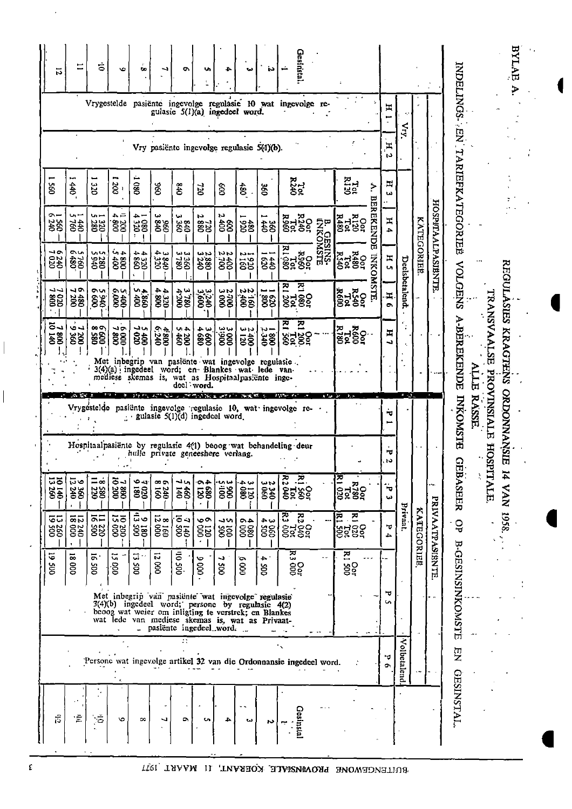| 12                                                                                                  | ≂                                         | Ġ                              | v                           | œ                        |                            | ۰                                | w                        |                                        | دمه                     | ÌЭ.                                                                                                                                                                                                              | Gesinstal                                                                                                                                                                                                                                                                                                                       |                               |                                                                     |                       |                  |                   |                          | INDELINGS PN                                              | BYLAE<br>۶          |
|-----------------------------------------------------------------------------------------------------|-------------------------------------------|--------------------------------|-----------------------------|--------------------------|----------------------------|----------------------------------|--------------------------|----------------------------------------|-------------------------|------------------------------------------------------------------------------------------------------------------------------------------------------------------------------------------------------------------|---------------------------------------------------------------------------------------------------------------------------------------------------------------------------------------------------------------------------------------------------------------------------------------------------------------------------------|-------------------------------|---------------------------------------------------------------------|-----------------------|------------------|-------------------|--------------------------|-----------------------------------------------------------|---------------------|
|                                                                                                     |                                           |                                |                             |                          |                            |                                  |                          | gulasie 5(1)(a) ingedeel word.         |                         |                                                                                                                                                                                                                  | Vrygestelde pasiënte ingevolge regulasie 10 wat ingevolge re-                                                                                                                                                                                                                                                                   |                               |                                                                     | H                     | $\sum_{i=1}^{n}$ |                   |                          |                                                           |                     |
|                                                                                                     |                                           |                                |                             |                          |                            |                                  |                          |                                        |                         | Vry pasiënte ingevolge regulasie 5(1)(b).                                                                                                                                                                        |                                                                                                                                                                                                                                                                                                                                 |                               |                                                                     | Ξ<br>LJ.              |                  |                   |                          |                                                           |                     |
| $\tilde{8}$                                                                                         | 440                                       | ΩC                             | 200                         | 80                       | 096                        | 0+8                              | oz.                      | $\hat{a}$                              | 480                     | $\tilde{8}$                                                                                                                                                                                                      | R240<br>R240                                                                                                                                                                                                                                                                                                                    |                               | <b>Asiz</b><br>۶.<br>몸                                              | E<br>دى               |                  |                   |                          | TARIEFKATEGORIEË                                          |                     |
| ິ~<br>38                                                                                            | ⊶ بی<br>35                                | ⊶ ما<br>380                    | ユチ<br>88                    | ≏<br><b>DSO</b>          | نیا<br><b>8%</b>           | ئما<br>380                       | Z<br>380                 | r,<br>\$\$                             | 38                      | <b>\$\$</b>                                                                                                                                                                                                      | <b>02159</b><br>82188                                                                                                                                                                                                                                                                                                           | <b>B. GESINS-</b><br>GNKOMSTE | E,<br><b>EKENDE</b><br><b><i><b>RHAR</b></i></b><br>RHAR<br>RHAR    | ፰<br>4                |                  |                   |                          |                                                           |                     |
| ∼∽<br>240                                                                                           | ົ<br>780                                  | いい<br>280                      | 4.4<br>ĝĝ                   | ∸<br>330                 | س ج<br>$\frac{840}{350}$   | ننا ننا<br>881                   | د د<br>880<br>240        | دردر<br>$\ddot{\tilde{g}}$             | n.<br><b>556</b>        | 430                                                                                                                                                                                                              | $\begin{bmatrix} 1 & 0 & 0 & 0 \\ 0 & 0 & 0 & 0 \\ 0 & 0 & 0 & 0 \\ 0 & 0 & 0 & 0 \\ 0 & 0 & 0 & 0 \\ 0 & 0 & 0 & 0 \\ 0 & 0 & 0 & 0 \\ 0 & 0 & 0 & 0 \\ 0 & 0 & 0 & 0 \\ 0 & 0 & 0 & 0 \\ 0 & 0 & 0 & 0 \\ 0 & 0 & 0 & 0 \\ 0 & 0 & 0 & 0 \\ 0 & 0 & 0 & 0 \\ 0 & 0 & 0 & 0 & 0 \\ 0 & 0 & 0 & 0 & 0 \\ 0 & 0 & 0 & 0 & 0 \\ $ |                               | <b><i><b>PARD</b></i><br/>PARD<br/>PARD<br/>PARD</b><br><b>DXXO</b> | H<br><b>Un</b>        |                  | <b>KATEGORIEË</b> | <b>HOSPITAALPASIBNTE</b> |                                                           |                     |
| ل ل<br>88                                                                                           | ۹۰<br><b>38</b>                           | an<br>88                       | an<br>88                    | جوسا<br>$\frac{22}{35}$  | 4.320<br>025               | 3780<br>081                      | <b>2,2,600</b><br>000,00 | 23000<br>2000                          | nn                      | 38                                                                                                                                                                                                               | 점<br>Ĭ,<br>8289                                                                                                                                                                                                                                                                                                                 |                               | <b>STTE</b><br><b>OSA<br/>RSA<br/>RSO</b>                           | H<br>$\bullet$        | Deelsbetalend.   |                   |                          | <b>VOLGENS</b>                                            | REGULASIES KRAGTENS |
| కే ఎ<br>$\overline{8}$                                                                              | دی<br><b>282</b>                          | $\infty$<br>88                 | $\frac{5000}{7000}$         | 1000                     | 4800<br>6:240              | 4 ب<br>38                        | ن ج<br>88                | 33,900                                 | いい<br>$\frac{25}{28}$   | ぃー<br>$rac{68}{68}$                                                                                                                                                                                              | E1<br>즈<br>8282                                                                                                                                                                                                                                                                                                                 |                               | <b>OSCA</b><br>R780<br>R780<br>R780                                 | Ħ<br>Ñ,               |                  |                   |                          | <b>A-BEREKENDE</b>                                        |                     |
|                                                                                                     |                                           |                                |                             |                          |                            | deel word.                       |                          |                                        |                         | Met inbegrip van pasiënte wat ingevolge regulasie.<br>3(4)(a) ingedeel word; en Blankes wat lede van-<br>mediese skemas is, wat as Hospitaalpasiënte inge-                                                       |                                                                                                                                                                                                                                                                                                                                 |                               |                                                                     |                       |                  |                   |                          | E                                                         |                     |
|                                                                                                     |                                           |                                |                             |                          |                            |                                  |                          | gulasie $5(1)(d)$ ingedeel word.       |                         |                                                                                                                                                                                                                  | Vrygestelde pasiënte ingevolge regulasie 10, wat ingevolge re-                                                                                                                                                                                                                                                                  | a to br                       | <b>A.A.</b>                                                         | ₩                     | $4 - 3$ .        |                   |                          | TRANSVAALSE PROVINSIALE HOSPI<br><b>RASSE</b><br>INKOMSTE | <b>ORDONNANSIE</b>  |
| Hospitaalpasiënte by regulasie 4(1) beoog wat behandeling deur<br>hulle private geneeshere verlang. |                                           |                                |                             |                          |                            |                                  |                          |                                        |                         |                                                                                                                                                                                                                  |                                                                                                                                                                                                                                                                                                                                 |                               |                                                                     | ۳<br>tJ               |                  |                   |                          | $\Omega$                                                  |                     |
| 19140                                                                                               | ದ್<br>380                                 | $\equiv$ $\infty$<br><b>BS</b> | $\overline{5}$<br><b>gg</b> | انه ک<br><b>88</b>       | $\infty$<br><b>250</b>     | ما لہ<br><b>FÉ</b>               | 88                       | د ده<br>$\ddot{\bar{g}}\ddot{\bar{g}}$ | س ہ<br>$\frac{32}{280}$ | မႈမ<br><b>88</b>                                                                                                                                                                                                 | R2<br>존<br><b>SERS</b>                                                                                                                                                                                                                                                                                                          |                               | 즈<br><b>R788</b><br>P788<br>P 020                                   | $\blacksquare$<br>دیا |                  |                   |                          | <b>BASEER</b><br>TALE                                     | 8561 NVA 1          |
| 13260                                                                                               | 12240<br>18000                            | ສສ<br>38                       | 10200                       | مة<br>$\frac{2}{3}$      | 8 160<br>12 000            | $\frac{1}{2}$<br>$\overline{38}$ | ৩০<br>gize               | ب د<br>š§                              | 4000                    | دی جہ<br>$\overline{\mathbf{g}}\overline{\mathbf{g}}$                                                                                                                                                            | <b>R2</b><br>R2756<br>R3 900                                                                                                                                                                                                                                                                                                    |                               | 곤<br>Ζ<br><b>Sägg</b>                                               | ヮ<br>Ł.               | Privaat.         | KATEGORIEE        | <b>PRIVAATPASIBNTE</b>   | QP                                                        |                     |
| <b>DOS 61</b>                                                                                       | $\overline{\infty}$<br>$\mathsf{g}% _{T}$ | $\overline{\circ}$<br>ğ        | 15<br>ĝά                    | $\overline{\omega}$<br>ě | <b>Z</b><br>8 <sup>o</sup> | $\bar{5}$<br>ğ.                  | 0006                     | Ļ<br>ğ                                 | ัด<br>$\mathsf{g}$      | - 4<br>g                                                                                                                                                                                                         | ਲ਼<br>ខ្លីខ្ញុំ                                                                                                                                                                                                                                                                                                                 |                               | 흔<br>Så                                                             |                       |                  |                   |                          |                                                           |                     |
|                                                                                                     |                                           |                                |                             |                          |                            |                                  |                          | - pasiente ingedeel word.              |                         | Met inbegrip van pasiënte wat ingevolge regulasie<br>3(4)(b) ingedeel word; persone by regulasie 4(2)<br>beoog wat weier om inligting te verstrek; en Blankes<br>wat lede van mediese skemas is, wat as Privaat- |                                                                                                                                                                                                                                                                                                                                 |                               |                                                                     | ᠊ᢦ<br><b>SA</b>       |                  |                   |                          | <b>B-GESINSINKOMSTE</b>                                   |                     |
|                                                                                                     |                                           |                                |                             |                          |                            |                                  |                          |                                        |                         |                                                                                                                                                                                                                  | $\ddot{\phantom{0}}$<br>Persone wat ingevolge artikel 32 van die Ordonnansie ingedeel word.                                                                                                                                                                                                                                     |                               |                                                                     | ᆏ<br>Ō.               | Volbetalend      |                   |                          | <b>EN</b>                                                 |                     |
| Ĝ                                                                                                   | 宝                                         | $\sigma$                       | $\bullet$                   | $\infty$                 |                            | ۵                                | u                        |                                        | $-1$<br>نت              | N                                                                                                                                                                                                                | Gesinsta                                                                                                                                                                                                                                                                                                                        |                               |                                                                     |                       |                  |                   |                          | <b>GESINSTAL</b>                                          |                     |

BUITENGEWONE PROVINSIALE KOERANT, II MAART IYA

 $\sim$ 

۰.

 $\overline{\phantom{a}}$ 

 $\lambda$ 

J,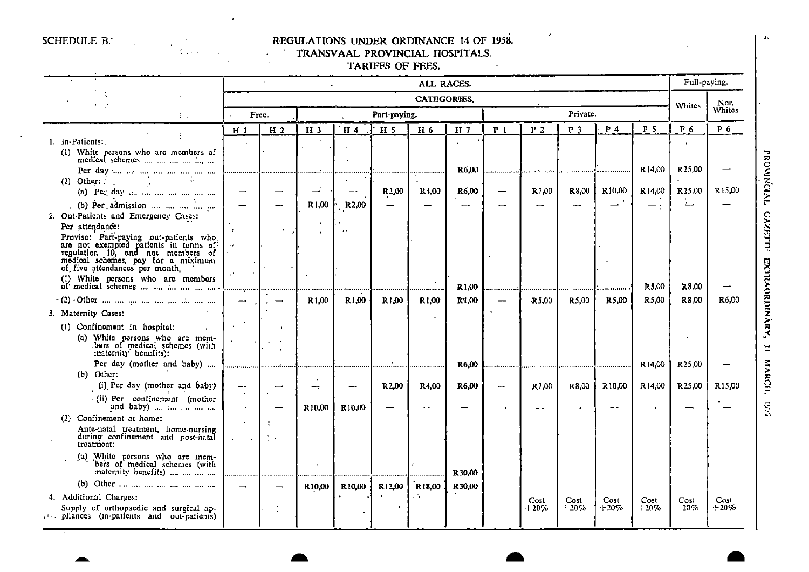.

a

.

•

## SCHEDULE B. **REGULATIONS UNDER ORDINANCE 14 OF 1958.**

#### • - TRANSVAAL PROVINCIAL HOSPITALS.

TARIFFS OF FEES.

|                                                                                         |                             |                                                           |                    |                    |                   | ALL RACES.         |                   |                |                |                |                |                    | Full-paying.        |               |
|-----------------------------------------------------------------------------------------|-----------------------------|-----------------------------------------------------------|--------------------|--------------------|-------------------|--------------------|-------------------|----------------|----------------|----------------|----------------|--------------------|---------------------|---------------|
|                                                                                         |                             |                                                           |                    |                    |                   | <b>CATEGORIES</b>  |                   |                |                |                |                |                    | Whites              | Non           |
| A.                                                                                      |                             | Free.                                                     |                    |                    | Part-paying.      |                    |                   |                |                | Private.       |                |                    |                     | <b>Whites</b> |
|                                                                                         | H <sub>1</sub>              | H <sub>2</sub>                                            | H <sub>3</sub>     | H 4                | H <sub>5</sub>    | H 6                | H <sub>7</sub>    | P <sub>1</sub> | P <sub>2</sub> | P <sub>3</sub> | P <sub>4</sub> | P 5                | P <sub>6</sub>      | $P_6$         |
| 1. In-Patients:.                                                                        |                             |                                                           |                    |                    |                   |                    |                   |                |                |                |                |                    |                     |               |
| (1) White persons who are members of<br>medical schemes                                 |                             |                                                           |                    |                    |                   |                    |                   |                |                |                |                |                    |                     |               |
| Per day the notation and the mean of                                                    |                             |                                                           |                    |                    |                   | .                  | R6,00             | .              | .              |                |                | R <sub>14.00</sub> | R <sub>25.00</sub>  |               |
| (2) Other: $\therefore$                                                                 |                             |                                                           |                    |                    |                   |                    |                   |                |                |                |                |                    |                     |               |
| (a) Per day $\ldots$                                                                    | --                          |                                                           | $\rightarrow$      | $-$                | R2,00             | <b>R4,00</b>       | R6.00             | –              | R7,00          | R8,00          | R10,00         | R14,00             | R <sub>25</sub> ,00 | R15,00        |
| (b) Per admission                                                                       |                             |                                                           | R1,00              | R <sub>2</sub> ,00 |                   |                    |                   |                |                |                |                | $-$ .              | <u>، ت</u>          |               |
| 2. Out-Patients and Emergency Cases:<br>Per attendance:                                 |                             |                                                           | $\pmb{\cdot}$      |                    |                   |                    |                   |                |                |                |                |                    |                     |               |
| Proviso: Part-paying out-patients who                                                   |                             |                                                           |                    | $\bullet$          |                   |                    |                   |                |                |                |                |                    |                     |               |
| are not exempted patients in terms of regulation 10, and not members of                 |                             |                                                           |                    |                    |                   |                    |                   |                |                |                |                |                    |                     |               |
| medical schemes, pay for a miximum                                                      |                             |                                                           |                    |                    |                   |                    |                   |                |                |                |                |                    |                     |               |
| of five attendances per month.                                                          | $\mathcal{A}$               |                                                           |                    |                    |                   |                    |                   |                |                |                |                |                    |                     |               |
| (1) White persons who are members                                                       |                             |                                                           |                    |                    |                   |                    | R <sub>1,00</sub> |                |                |                |                | R5,00              | R8.00               |               |
|                                                                                         | -                           |                                                           | R <sub>1,00</sub>  | R1,00              | R1,00             | R1,00              | R'1,00            |                | R 5.00         | R5,00          | R5.00          | R5,00              | R8,00               | R6,00         |
| 3. Maternity Cases:                                                                     |                             |                                                           |                    |                    |                   |                    |                   |                |                |                |                |                    |                     |               |
| (1) Confinement in hospital:                                                            | $\mathcal{L}^{\mathcal{A}}$ |                                                           |                    |                    |                   |                    |                   |                |                |                |                |                    |                     |               |
|                                                                                         | $\mathbf{r}$                |                                                           |                    |                    |                   |                    |                   |                |                |                |                |                    |                     |               |
| (a) White persons who are mem-<br>bers of medical schemes (with<br>maternity benefits): |                             | $\mathbf{r}$                                              |                    |                    |                   |                    |                   |                |                |                |                |                    |                     |               |
|                                                                                         |                             |                                                           |                    |                    |                   |                    | R6,00             |                | .              |                | .              | R14.00             | R <sub>25.00</sub>  |               |
| (b) Other:                                                                              |                             |                                                           |                    |                    |                   |                    |                   |                |                |                |                |                    |                     |               |
| (i) Per day (mother and baby)                                                           | —.<br>$\sim$                |                                                           | $-$                |                    | R <sub>2,00</sub> | R4,00              | R6,00             | --             | R7,00          | R8,00          | R10,00         | R14,00             | R <sub>25,00</sub>  | R15,00        |
| (ii) Per confinement (mother<br>and baby)                                               | $\overline{\phantom{0}}$    | خب                                                        | R <sub>10.00</sub> | R <sub>10,00</sub> |                   |                    |                   |                |                |                |                |                    |                     |               |
| (2) Confinement at home:                                                                |                             |                                                           |                    |                    |                   |                    |                   |                |                |                |                |                    |                     |               |
| Ante-natal treatment, home-nursing<br>during confinement and post-natal<br>treatment:   | $\sim$                      | $\mathcal{F}^{\mathcal{F}}_{\mathcal{F}^{\mathcal{F}}}$ . |                    |                    |                   |                    |                   |                |                |                |                |                    |                     |               |
| (a) White persons who are mem-<br>bers of medical schemes (with                         |                             |                                                           |                    |                    |                   |                    | R30,00            |                |                |                |                |                    |                     |               |
|                                                                                         |                             |                                                           | R10,00             | R10,00             | R12,00            | R <sub>18,00</sub> | R30,00            |                |                |                |                |                    |                     |               |
| 4. Additional Charges:                                                                  |                             |                                                           |                    |                    |                   | уÑ.                |                   |                | Cost           | Cost           | Cost           | Cost               | Cost                | Cost          |
| Supply of orthopaedic and surgical ap-<br>pliances (in-patients and out-patients)       |                             |                                                           |                    |                    |                   |                    |                   |                | $+20\%$        | $+20\%$        | $+20%$         | $+20%$             | $+20%$              | $+20%$        |

a ak

a